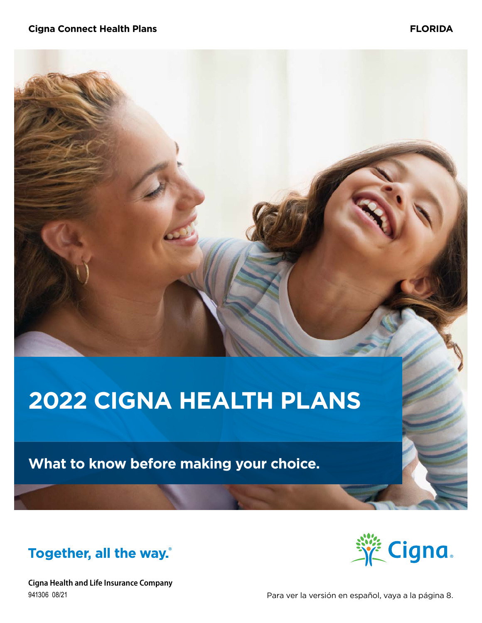# **2022 CIGNA HEALTH PLANS**

**What to know before making your choice.**





**Cigna Health and Life Insurance Company** 941306 08/21

Para ver la versión en español, vaya a la página 8.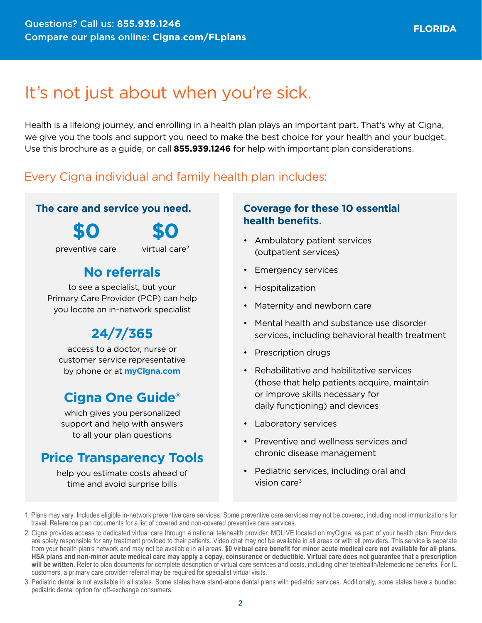# It's not just about when you're sick.

Health is a lifelong journey, and enrolling in a health plan plays an important part. That's why at Cigna, we give you the tools and support you need to make the best choice for your health and your budget. Use this brochure as a guide, or call **855.939.1246** for help with important plan considerations.

# Every Cigna individual and family health plan includes:

## **The care and service you need.**

**\$0**

**\$0**

preventive care1

virtual care2

# **No referrals**

to see a specialist, but your Primary Care Provider (PCP) can help you locate an in-network specialist

# **24/7/365**

access to a doctor, nurse or customer service representative by phone or at **[myCigna.com](http://myCigna.com)**

# **Cigna One Guide®**

which gives you personalized support and help with answers to all your plan questions

# **Price Transparency Tools**

help you estimate costs ahead of time and avoid surprise bills

## **Coverage for these 10 essential health benefits.**

- Ambulatory patient services (outpatient services)
- Emergency services
- Hospitalization
- Maternity and newborn care
- Mental health and substance use disorder services, including behavioral health treatment
- Prescription drugs
- Rehabilitative and habilitative services (those that help patients acquire, maintain or improve skills necessary for daily functioning) and devices
- Laboratory services
- Preventive and wellness services and chronic disease management
- Pediatric services, including oral and vision care $3$

3. Pediatric dental is not available in all states. Some states have stand-alone dental plans with pediatric services. Additionally, some states have a bundled pediatric dental option for off-exchange consumers.

<sup>1.</sup> Plans may vary. Includes eligible in-network preventive care services. Some preventive care services may not be covered, including most immunizations for travel. Reference plan documents for a list of covered and non-covered preventive care services.

<sup>2.</sup> Cigna provides access to dedicated virtual care through a national telehealth provider, MDLIVE located on myCigna, as part of your health plan. Providers are solely responsible for any treatment provided to their patients. Video chat may not be available in all areas or with all providers. This service is separate from your health plan's network and may not be available in all areas. **\$0 virtual care benefit for minor acute medical care not available for all plans. HSA plans and non-minor acute medical care may apply a copay, coinsurance or deductible. Virtual care does not guarantee that a prescription will be written.** Refer to plan documents for complete description of virtual care services and costs, including other telehealth/telemedicine benefits. For IL customers, a primary care provider referral may be required for specialist virtual visits.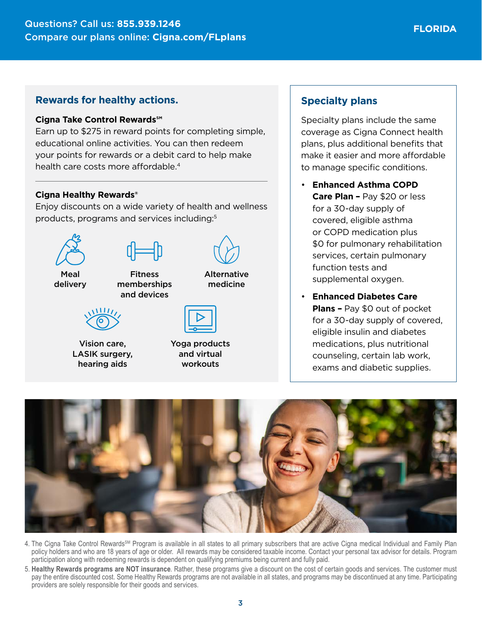#### **Cigna Take Control Rewards℠**

Earn up to \$275 in reward points for completing simple, educational online activities. You can then redeem your points for rewards or a debit card to help make health care costs more affordable.<sup>4</sup>

#### **Cigna Healthy Rewards®**

Enjoy discounts on a wide variety of health and wellness products, programs and services including:5



Vision care, LASIK surgery, hearing aids

Yoga products and virtual workouts

## **Specialty plans**

Specialty plans include the same coverage as Cigna Connect health plans, plus additional benefits that make it easier and more affordable to manage specific conditions.

- **Enhanced Asthma COPD Care Plan –** Pay \$20 or less for a 30-day supply of covered, eligible asthma or COPD medication plus \$0 for pulmonary rehabilitation services, certain pulmonary function tests and supplemental oxygen.
- **Enhanced Diabetes Care Plans –** Pay \$0 out of pocket for a 30-day supply of covered, eligible insulin and diabetes medications, plus nutritional counseling, certain lab work, exams and diabetic supplies.



- 4. The Cigna Take Control Rewards<sup>SM</sup> Program is available in all states to all primary subscribers that are active Cigna medical Individual and Family Plan policy holders and who are 18 years of age or older. All rewards may be considered taxable income. Contact your personal tax advisor for details. Program participation along with redeeming rewards is dependent on qualifying premiums being current and fully paid.
- 5. **Healthy Rewards programs are NOT insurance**. Rather, these programs give a discount on the cost of certain goods and services. The customer must pay the entire discounted cost. Some Healthy Rewards programs are not available in all states, and programs may be discontinued at any time. Participating providers are solely responsible for their goods and services.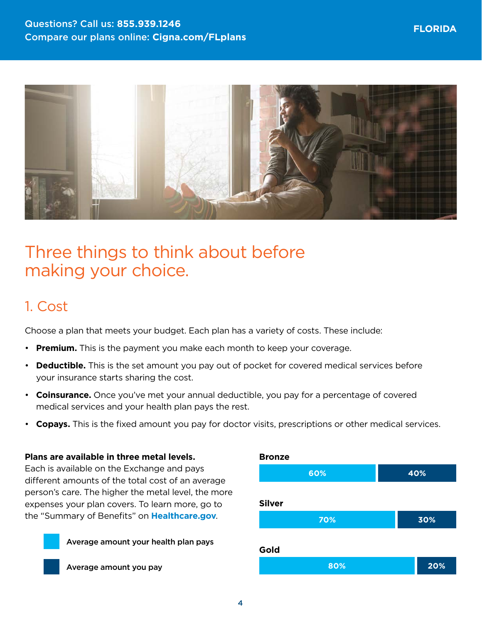

# Three things to think about before making your choice.

# 1. Cost

Choose a plan that meets your budget. Each plan has a variety of costs. These include:

- **Premium.** This is the payment you make each month to keep your coverage.
- **Deductible.** This is the set amount you pay out of pocket for covered medical services before your insurance starts sharing the cost.
- **Coinsurance.** Once you've met your annual deductible, you pay for a percentage of covered medical services and your health plan pays the rest.
- **Copays.** This is the fixed amount you pay for doctor visits, prescriptions or other medical services.

#### **Plans are available in three metal levels.**

Each is available on the Exchange and pays different amounts of the total cost of an average person's care. The higher the metal level, the more expenses your plan covers. To learn more, go to the "Summary of Benefits" on **[Healthcare.gov](http://Healthcare.gov)**.





Average amount you pay

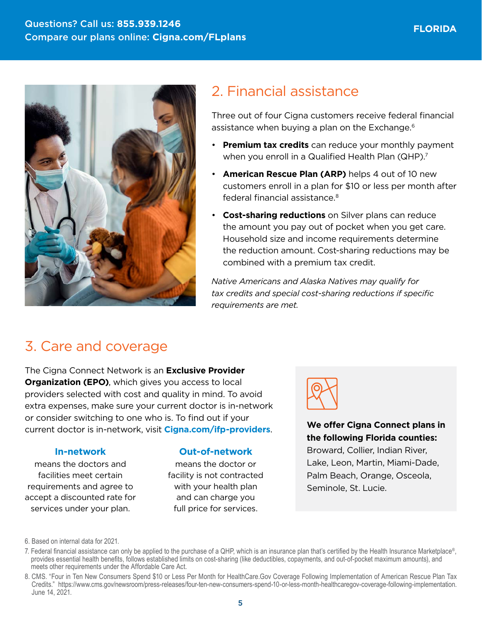

# 2. Financial assistance

Three out of four Cigna customers receive federal financial assistance when buying a plan on the Exchange.<sup>6</sup>

- **Premium tax credits** can reduce your monthly payment when you enroll in a Qualified Health Plan (QHP).<sup>7</sup>
- **American Rescue Plan (ARP)** helps 4 out of 10 new customers enroll in a plan for \$10 or less per month after federal financial assistance.8
- **Cost-sharing reductions** on Silver plans can reduce the amount you pay out of pocket when you get care. Household size and income requirements determine the reduction amount. Cost-sharing reductions may be combined with a premium tax credit.

*Native Americans and Alaska Natives may qualify for tax credits and special cost-sharing reductions if specific requirements are met.*

# 3. Care and coverage

The Cigna Connect Network is an **Exclusive Provider Organization (EPO)**, which gives you access to local providers selected with cost and quality in mind. To avoid extra expenses, make sure your current doctor is in-network or consider switching to one who is. To find out if your current doctor is in-network, visit **[Cigna.com/ifp-providers](https://www.Cigna.com/ifp-providers)**. **We offer Cigna Connect plans in** 

#### **In-network**

means the doctors and facilities meet certain requirements and agree to accept a discounted rate for services under your plan.

#### **Out-of-network**

means the doctor or facility is not contracted with your health plan and can charge you full price for services.



**the following Florida counties:** 

Broward, Collier, Indian River, Lake, Leon, Martin, Miami-Dade, Palm Beach, Orange, Osceola, Seminole, St. Lucie.

<sup>6.</sup> Based on internal data for 2021.

<sup>7.</sup> Federal financial assistance can only be applied to the purchase of a QHP, which is an insurance plan that's certified by the Health Insurance Marketplace®, provides essential health benefits, follows established limits on cost-sharing (like deductibles, copayments, and out-of-pocket maximum amounts), and meets other requirements under the Affordable Care Act.

<sup>8.</sup> CMS. "Four in Ten New Consumers Spend \$10 or Less Per Month for HealthCare.Gov Coverage Following Implementation of American Rescue Plan Tax Credits." <https://www.cms.gov/newsroom/press-releases/four-ten-new-consumers-spend-10-or-less-month-healthcaregov-coverage-following-implementation>. June 14, 2021.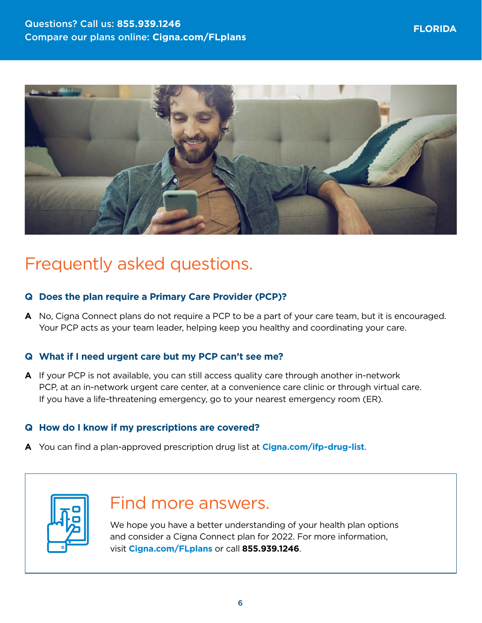

# Frequently asked questions.

## **Q Does the plan require a Primary Care Provider (PCP)?**

**A** No, Cigna Connect plans do not require a PCP to be a part of your care team, but it is encouraged. Your PCP acts as your team leader, helping keep you healthy and coordinating your care.

## **Q What if I need urgent care but my PCP can't see me?**

**A** If your PCP is not available, you can still access quality care through another in-network PCP, at an in-network urgent care center, at a convenience care clinic or through virtual care. If you have a life-threatening emergency, go to your nearest emergency room (ER).

## **Q How do I know if my prescriptions are covered?**

**A** You can find a plan-approved prescription drug list at **[Cigna.com/ifp-drug-list](http://Cigna.com/ifp-drug-list)**.



# Find more answers.

We hope you have a better understanding of your health plan options and consider a Cigna Connect plan for 2022. For more information, visit **[Cigna.com/FLplans](http://Cigna.com/FLplans)** or call **855.939.1246**.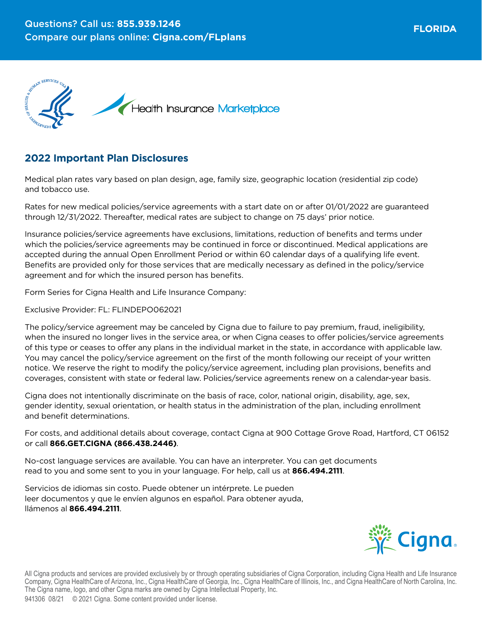

## **2022 Important Plan Disclosures**

Medical plan rates vary based on plan design, age, family size, geographic location (residential zip code) and tobacco use.

Rates for new medical policies/service agreements with a start date on or after 01/01/2022 are guaranteed through 12/31/2022. Thereafter, medical rates are subject to change on 75 days' prior notice.

Insurance policies/service agreements have exclusions, limitations, reduction of benefits and terms under which the policies/service agreements may be continued in force or discontinued. Medical applications are accepted during the annual Open Enrollment Period or within 60 calendar days of a qualifying life event. Benefits are provided only for those services that are medically necessary as defined in the policy/service agreement and for which the insured person has benefits.

Form Series for Cigna Health and Life Insurance Company:

Exclusive Provider: FL: FLINDEPO062021

The policy/service agreement may be canceled by Cigna due to failure to pay premium, fraud, ineligibility, when the insured no longer lives in the service area, or when Cigna ceases to offer policies/service agreements of this type or ceases to offer any plans in the individual market in the state, in accordance with applicable law. You may cancel the policy/service agreement on the first of the month following our receipt of your written notice. We reserve the right to modify the policy/service agreement, including plan provisions, benefits and coverages, consistent with state or federal law. Policies/service agreements renew on a calendar-year basis.

Cigna does not intentionally discriminate on the basis of race, color, national origin, disability, age, sex, gender identity, sexual orientation, or health status in the administration of the plan, including enrollment and benefit determinations.

For costs, and additional details about coverage, contact Cigna at 900 Cottage Grove Road, Hartford, CT 06152 or call **866.GET.CIGNA (866.438.2446)**.

No-cost language services are available. You can have an interpreter. You can get documents read to you and some sent to you in your language. For help, call us at **866.494.2111**.

Servicios de idiomas sin costo. Puede obtener un intérprete. Le pueden leer documentos y que le envíen algunos en español. Para obtener ayuda, llámenos al **866.494.2111**.



All Cigna products and services are provided exclusively by or through operating subsidiaries of Cigna Corporation, including Cigna Health and Life Insurance Company, Cigna HealthCare of Arizona, Inc., Cigna HealthCare of Georgia, Inc., Cigna HealthCare of Illinois, Inc., and Cigna HealthCare of North Carolina, Inc. The Cigna name, logo, and other Cigna marks are owned by Cigna Intellectual Property, Inc.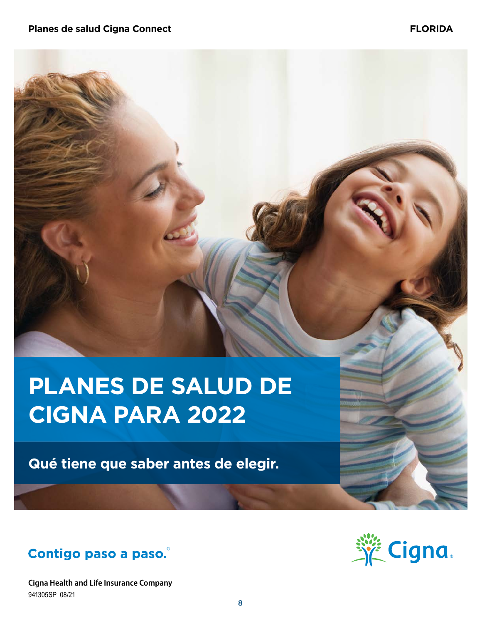# **PLANES DE SALUD DE CIGNA PARA 2022**

**Qué tiene que saber antes de elegir.**



**Cigna Health and Life Insurance Company** 941305SP 08/21

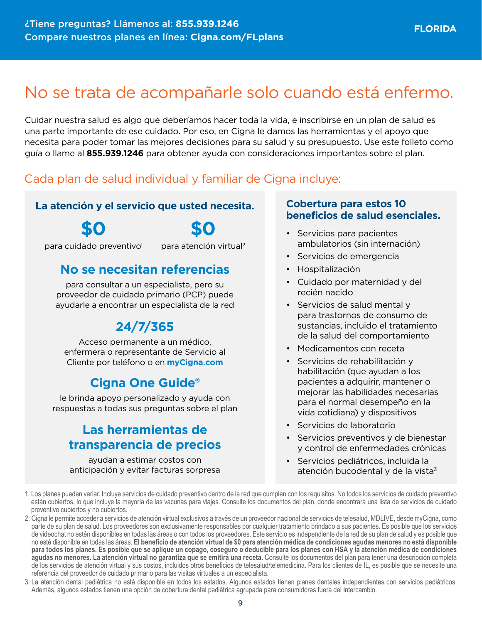# No se trata de acompañarle solo cuando está enfermo.

Cuidar nuestra salud es algo que deberíamos hacer toda la vida, e inscribirse en un plan de salud es una parte importante de ese cuidado. Por eso, en Cigna le damos las herramientas y el apoyo que necesita para poder tomar las mejores decisiones para su salud y su presupuesto. Use este folleto como guía o llame al **855.939.1246** para obtener ayuda con consideraciones importantes sobre el plan.

# Cada plan de salud individual y familiar de Cigna incluye:

## **La atención y el servicio que usted necesita.**

**\$0**

para cuidado preventivo<sup>1</sup>

**\$0** para atención virtual2

# **No se necesitan referencias**

para consultar a un especialista, pero su proveedor de cuidado primario (PCP) puede ayudarle a encontrar un especialista de la red

# **24/7/365**

Acceso permanente a un médico, enfermera o representante de Servicio al Cliente por teléfono o en **[myCigna.com](http://myCigna.com)**

# **Cigna One Guide®**

le brinda apoyo personalizado y ayuda con respuestas a todas sus preguntas sobre el plan

# **Las herramientas de transparencia de precios**

ayudan a estimar costos con anticipación y evitar facturas sorpresa

## **Cobertura para estos 10 beneficios de salud esenciales.**

- Servicios para pacientes ambulatorios (sin internación)
- Servicios de emergencia
- Hospitalización
- Cuidado por maternidad y del recién nacido
- Servicios de salud mental y para trastornos de consumo de sustancias, incluido el tratamiento de la salud del comportamiento
- Medicamentos con receta
- Servicios de rehabilitación y habilitación (que ayudan a los pacientes a adquirir, mantener o mejorar las habilidades necesarias para el normal desempeño en la vida cotidiana) y dispositivos
- Servicios de laboratorio
- Servicios preventivos y de bienestar y control de enfermedades crónicas
- Servicios pediátricos, incluida la atención bucodental y de la vista $3$
- 1. Los planes pueden variar. Incluye servicios de cuidado preventivo dentro de la red que cumplen con los requisitos. No todos los servicios de cuidado preventivo están cubiertos, lo que incluye la mayoría de las vacunas para viajes. Consulte los documentos del plan, donde encontrará una lista de servicios de cuidado preventivo cubiertos y no cubiertos.
- 2. Cigna le permite acceder a servicios de atención virtual exclusivos a través de un proveedor nacional de servicios de telesalud, MDLIVE, desde myCigna, como parte de su plan de salud. Los proveedores son exclusivamente responsables por cualquier tratamiento brindado a sus pacientes. Es posible que los servicios de videochat no estén disponibles en todas las áreas o con todos los proveedores. Este servicio es independiente de la red de su plan de salud y es posible que no esté disponible en todas las áreas. **El beneficio de atención virtual de \$0 para atención médica de condiciones agudas menores no está disponible para todos los planes. Es posible que se aplique un copago, coseguro o deducible para los planes con HSA y la atención médica de condiciones agudas no menores. La atención virtual no garantiza que se emitirá una receta.** Consulte los documentos del plan para tener una descripción completa de los servicios de atención virtual y sus costos, incluidos otros beneficios de telesalud/telemedicina. Para los clientes de IL, es posible que se necesite una referencia del proveedor de cuidado primario para las visitas virtuales a un especialista.
- 3. La atención dental pediátrica no está disponible en todos los estados. Algunos estados tienen planes dentales independientes con servicios pediátricos. Además, algunos estados tienen una opción de cobertura dental pediátrica agrupada para consumidores fuera del Intercambio.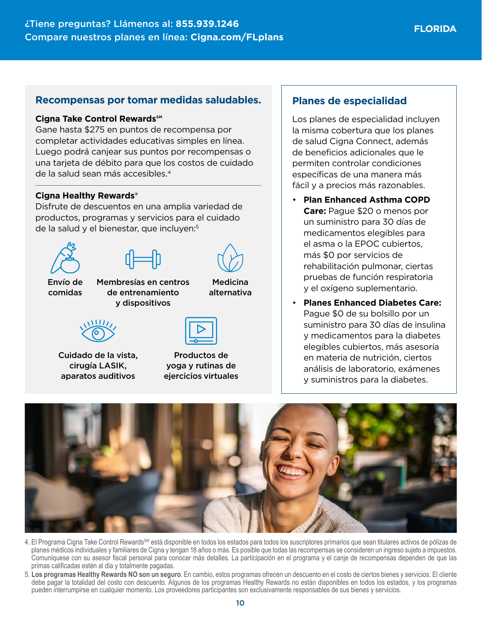### **Recompensas por tomar medidas saludables.**

#### **Cigna Take Control Rewards℠**

Gane hasta \$275 en puntos de recompensa por completar actividades educativas simples en línea. Luego podrá canjear sus puntos por recompensas o una tarjeta de débito para que los costos de cuidado de la salud sean más accesibles.4

#### **Cigna Healthy Rewards®**

Disfrute de descuentos en una amplia variedad de productos, programas y servicios para el cuidado de la salud y el bienestar, que incluyen:<sup>5</sup>





Envío de comidas

Membresías en centros de entrenamiento y dispositivos



Cuidado de la vista, cirugía LASIK, aparatos auditivos



Medicina alternativa

Productos de yoga y rutinas de ejercicios virtuales

## **Planes de especialidad**

Los planes de especialidad incluyen la misma cobertura que los planes de salud Cigna Connect, además de beneficios adicionales que le permiten controlar condiciones específicas de una manera más fácil y a precios más razonables.

- **Plan Enhanced Asthma COPD Care:** Pague \$20 o menos por un suministro para 30 días de medicamentos elegibles para el asma o la EPOC cubiertos, más \$0 por servicios de rehabilitación pulmonar, ciertas pruebas de función respiratoria y el oxígeno suplementario.
- **Planes Enhanced Diabetes Care:**  Pague \$0 de su bolsillo por un suministro para 30 días de insulina y medicamentos para la diabetes elegibles cubiertos, más asesoría en materia de nutrición, ciertos análisis de laboratorio, exámenes y suministros para la diabetes.



- 4. El Programa Cigna Take Control Rewards<sup>§M</sup> está disponible en todos los estados para todos los suscriptores primarios que sean titulares activos de pólizas de planes médicos individuales y familiares de Cigna y tengan 18 años o más. Es posible que todas las recompensas se consideren un ingreso sujeto a impuestos. Comuníquese con su asesor fiscal personal para conocer más detalles. La participación en el programa y el canje de recompensas dependen de que las primas calificadas estén al día y totalmente pagadas.
- 5. **Los programas Healthy Rewards NO son un seguro**. En cambio, estos programas ofrecen un descuento en el costo de ciertos bienes y servicios. El cliente debe pagar la totalidad del costo con descuento. Algunos de los programas Healthy Rewards no están disponibles en todos los estados, y los programas pueden interrumpirse en cualquier momento. Los proveedores participantes son exclusivamente responsables de sus bienes y servicios.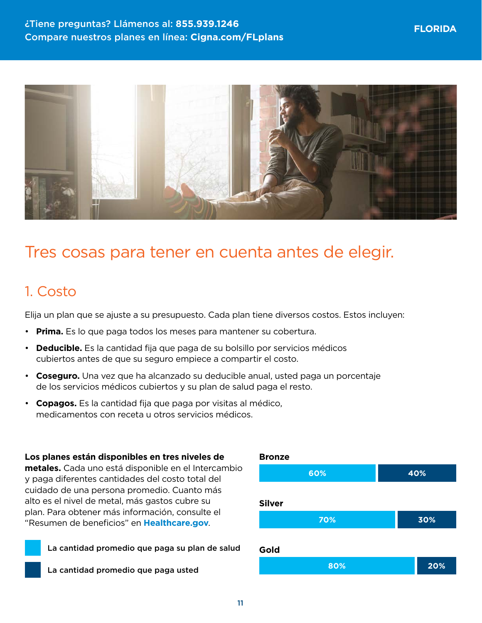

# Tres cosas para tener en cuenta antes de elegir.

# 1. Costo

Elija un plan que se ajuste a su presupuesto. Cada plan tiene diversos costos. Estos incluyen:

- **Prima.** Es lo que paga todos los meses para mantener su cobertura.
- **Deducible.** Es la cantidad fija que paga de su bolsillo por servicios médicos cubiertos antes de que su seguro empiece a compartir el costo.
- **Coseguro.** Una vez que ha alcanzado su deducible anual, usted paga un porcentaje de los servicios médicos cubiertos y su plan de salud paga el resto.
- **Copagos.** Es la cantidad fija que paga por visitas al médico, medicamentos con receta u otros servicios médicos.

#### **Los planes están disponibles en tres niveles de**

**metales.** Cada uno está disponible en el Intercambio y paga diferentes cantidades del costo total del cuidado de una persona promedio. Cuanto más alto es el nivel de metal, más gastos cubre su plan. Para obtener más información, consulte el "Resumen de beneficios" en **[Healthcare.gov](http://Healthcare.gov)**.

La cantidad promedio que paga su plan de salud

La cantidad promedio que paga usted

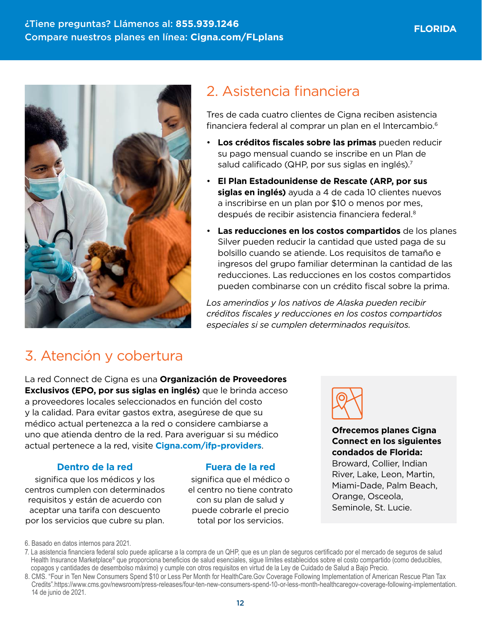

# 2. Asistencia financiera

Tres de cada cuatro clientes de Cigna reciben asistencia financiera federal al comprar un plan en el Intercambio.6

- **Los créditos fiscales sobre las primas** pueden reducir su pago mensual cuando se inscribe en un Plan de salud calificado (QHP, por sus siglas en inglés).<sup>7</sup>
- **El Plan Estadounidense de Rescate (ARP, por sus siglas en inglés)** ayuda a 4 de cada 10 clientes nuevos a inscribirse en un plan por \$10 o menos por mes, después de recibir asistencia financiera federal.<sup>8</sup>
- **Las reducciones en los costos compartidos** de los planes Silver pueden reducir la cantidad que usted paga de su bolsillo cuando se atiende. Los requisitos de tamaño e ingresos del grupo familiar determinan la cantidad de las reducciones. Las reducciones en los costos compartidos pueden combinarse con un crédito fiscal sobre la prima.

*Los amerindios y los nativos de Alaska pueden recibir créditos fiscales y reducciones en los costos compartidos especiales si se cumplen determinados requisitos.*

# 3. Atención y cobertura

La red Connect de Cigna es una **Organización de Proveedores Exclusivos (EPO, por sus siglas en inglés)** que le brinda acceso a proveedores locales seleccionados en función del costo y la calidad. Para evitar gastos extra, asegúrese de que su médico actual pertenezca a la red o considere cambiarse a uno que atienda dentro de la red. Para averiguar si su médico actual pertenece a la red, visite **[Cigna.com/ifp-providers](https://www.Cigna.com/ifp-providers)**.

## **Dentro de la red**

significa que los médicos y los centros cumplen con determinados requisitos y están de acuerdo con aceptar una tarifa con descuento por los servicios que cubre su plan.

## **Fuera de la red**

significa que el médico o el centro no tiene contrato con su plan de salud y puede cobrarle el precio total por los servicios.



**Ofrecemos planes Cigna Connect en los siguientes condados de Florida:**

Broward, Collier, Indian River, Lake, Leon, Martin, Miami-Dade, Palm Beach, Orange, Osceola, Seminole, St. Lucie.

<sup>6.</sup> Basado en datos internos para 2021.

<sup>7.</sup> La asistencia financiera federal solo puede aplicarse a la compra de un QHP, que es un plan de seguros certificado por el mercado de seguros de salud Health Insurance Marketplace® que proporciona beneficios de salud esenciales, sigue límites establecidos sobre el costo compartido (como deducibles, copagos y cantidades de desembolso máximo) y cumple con otros requisitos en virtud de la Ley de Cuidado de Salud a Bajo Precio.

<sup>8.</sup> CMS. "Four in Ten New Consumers Spend \$10 or Less Per Month for HealthCare.Gov Coverage Following Implementation of American Rescue Plan Tax Credits".<https://www.cms.gov/newsroom/press-releases/four-ten-new-consumers-spend-10-or-less-month-healthcaregov-coverage-following-implementation>. 14 de junio de 2021.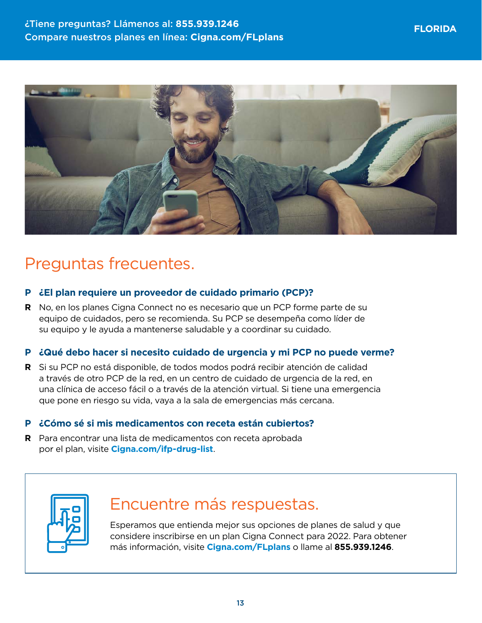

# Preguntas frecuentes.

#### **P ¿El plan requiere un proveedor de cuidado primario (PCP)?**

**R** No, en los planes Cigna Connect no es necesario que un PCP forme parte de su equipo de cuidados, pero se recomienda. Su PCP se desempeña como líder de su equipo y le ayuda a mantenerse saludable y a coordinar su cuidado.

#### **P ¿Qué debo hacer si necesito cuidado de urgencia y mi PCP no puede verme?**

**R** Si su PCP no está disponible, de todos modos podrá recibir atención de calidad a través de otro PCP de la red, en un centro de cuidado de urgencia de la red, en una clínica de acceso fácil o a través de la atención virtual. Si tiene una emergencia que pone en riesgo su vida, vaya a la sala de emergencias más cercana.

#### **P ¿Cómo sé si mis medicamentos con receta están cubiertos?**

**R** Para encontrar una lista de medicamentos con receta aprobada por el plan, visite **[Cigna.com/ifp-drug-list](http://Cigna.com/ifp-drug-list)**.



# Encuentre más respuestas.

Esperamos que entienda mejor sus opciones de planes de salud y que considere inscribirse en un plan Cigna Connect para 2022. Para obtener más información, visite **[Cigna.com/FLplans](http://cigna.com/flplans)** o llame al **855.939.1246**.